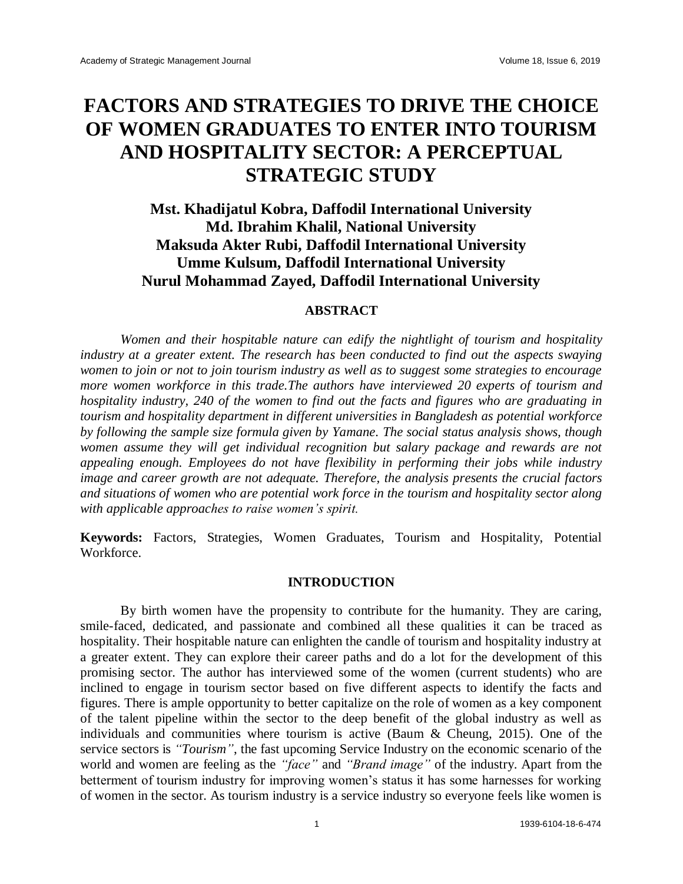# **FACTORS AND STRATEGIES TO DRIVE THE CHOICE OF WOMEN GRADUATES TO ENTER INTO TOURISM AND HOSPITALITY SECTOR: A PERCEPTUAL STRATEGIC STUDY**

# **Mst. Khadijatul Kobra, Daffodil International University Md. Ibrahim Khalil, National University Maksuda Akter Rubi, Daffodil International University Umme Kulsum, Daffodil International University Nurul Mohammad Zayed, Daffodil International University**

#### **ABSTRACT**

*Women and their hospitable nature can edify the nightlight of tourism and hospitality industry at a greater extent. The research has been conducted to find out the aspects swaying women to join or not to join tourism industry as well as to suggest some strategies to encourage more women workforce in this trade.The authors have interviewed 20 experts of tourism and hospitality industry, 240 of the women to find out the facts and figures who are graduating in tourism and hospitality department in different universities in Bangladesh as potential workforce by following the sample size formula given by Yamane. The social status analysis shows, though women assume they will get individual recognition but salary package and rewards are not appealing enough. Employees do not have flexibility in performing their jobs while industry image and career growth are not adequate. Therefore, the analysis presents the crucial factors and situations of women who are potential work force in the tourism and hospitality sector along with applicable approaches to raise women's spirit.*

**Keywords:** Factors, Strategies, Women Graduates, Tourism and Hospitality, Potential Workforce.

#### **INTRODUCTION**

By birth women have the propensity to contribute for the humanity. They are caring, smile-faced, dedicated, and passionate and combined all these qualities it can be traced as hospitality. Their hospitable nature can enlighten the candle of tourism and hospitality industry at a greater extent. They can explore their career paths and do a lot for the development of this promising sector. The author has interviewed some of the women (current students) who are inclined to engage in tourism sector based on five different aspects to identify the facts and figures. There is ample opportunity to better capitalize on the role of women as a key component of the talent pipeline within the sector to the deep benefit of the global industry as well as individuals and communities where tourism is active (Baum & Cheung, 2015). One of the service sectors is *"Tourism"*, the fast upcoming Service Industry on the economic scenario of the world and women are feeling as the *"face"* and *"Brand image"* of the industry. Apart from the betterment of tourism industry for improving women's status it has some harnesses for working of women in the sector. As tourism industry is a service industry so everyone feels like women is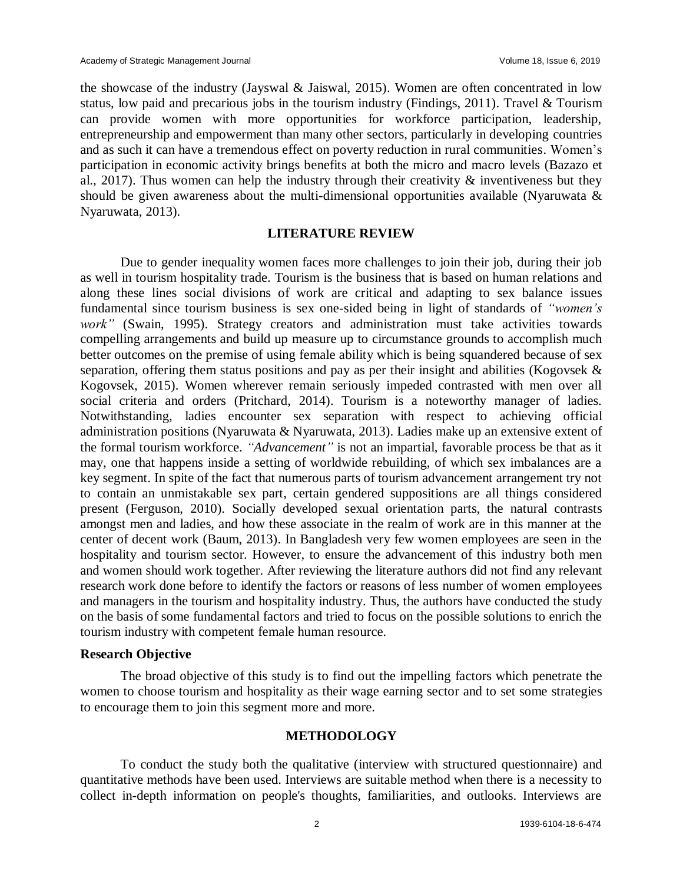the showcase of the industry (Jayswal & Jaiswal, 2015). Women are often concentrated in low status, low paid and precarious jobs in the tourism industry (Findings, 2011). Travel & Tourism can provide women with more opportunities for workforce participation, leadership, entrepreneurship and empowerment than many other sectors, particularly in developing countries and as such it can have a tremendous effect on poverty reduction in rural communities. Women's participation in economic activity brings benefits at both the micro and macro levels (Bazazo et al., 2017). Thus women can help the industry through their creativity  $\&$  inventiveness but they should be given awareness about the multi-dimensional opportunities available (Nyaruwata & Nyaruwata, 2013).

## **LITERATURE REVIEW**

Due to gender inequality women faces more challenges to join their job, during their job as well in tourism hospitality trade. Tourism is the business that is based on human relations and along these lines social divisions of work are critical and adapting to sex balance issues fundamental since tourism business is sex one-sided being in light of standards of *"women's*  work" (Swain, 1995). Strategy creators and administration must take activities towards compelling arrangements and build up measure up to circumstance grounds to accomplish much better outcomes on the premise of using female ability which is being squandered because of sex separation, offering them status positions and pay as per their insight and abilities (Kogovsek & Kogovsek, 2015). Women wherever remain seriously impeded contrasted with men over all social criteria and orders (Pritchard, 2014). Tourism is a noteworthy manager of ladies. Notwithstanding, ladies encounter sex separation with respect to achieving official administration positions (Nyaruwata & Nyaruwata, 2013). Ladies make up an extensive extent of the formal tourism workforce. *"Advancement"* is not an impartial, favorable process be that as it may, one that happens inside a setting of worldwide rebuilding, of which sex imbalances are a key segment. In spite of the fact that numerous parts of tourism advancement arrangement try not to contain an unmistakable sex part, certain gendered suppositions are all things considered present (Ferguson, 2010). Socially developed sexual orientation parts, the natural contrasts amongst men and ladies, and how these associate in the realm of work are in this manner at the center of decent work (Baum, 2013). In Bangladesh very few women employees are seen in the hospitality and tourism sector. However, to ensure the advancement of this industry both men and women should work together. After reviewing the literature authors did not find any relevant research work done before to identify the factors or reasons of less number of women employees and managers in the tourism and hospitality industry. Thus, the authors have conducted the study on the basis of some fundamental factors and tried to focus on the possible solutions to enrich the tourism industry with competent female human resource.

#### **Research Objective**

The broad objective of this study is to find out the impelling factors which penetrate the women to choose tourism and hospitality as their wage earning sector and to set some strategies to encourage them to join this segment more and more.

#### **METHODOLOGY**

To conduct the study both the qualitative (interview with structured questionnaire) and quantitative methods have been used. Interviews are suitable method when there is a necessity to collect in-depth information on people's thoughts, familiarities, and outlooks. Interviews are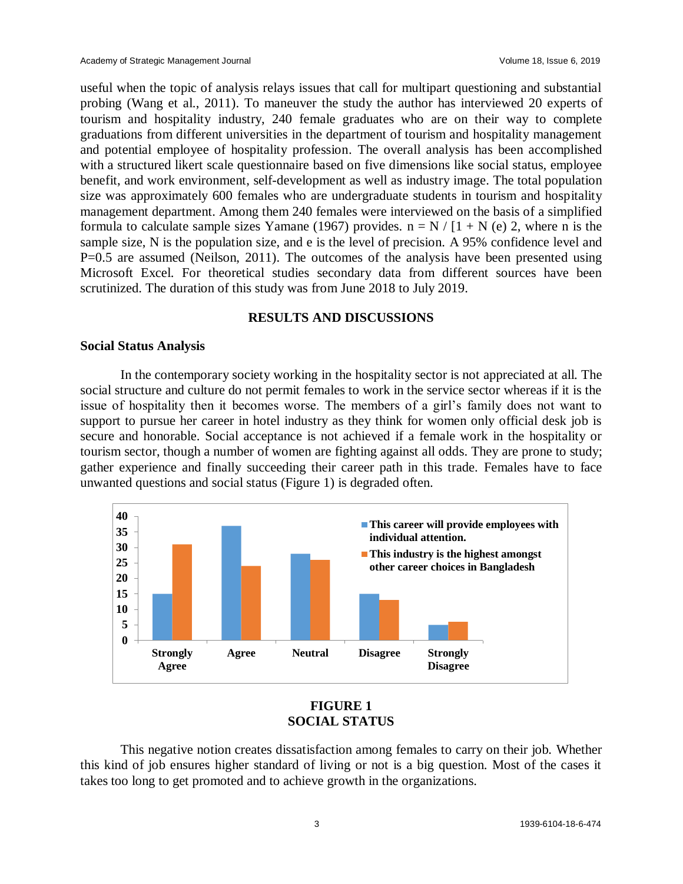useful when the topic of analysis relays issues that call for multipart questioning and substantial probing (Wang et al., 2011). To maneuver the study the author has interviewed 20 experts of tourism and hospitality industry, 240 female graduates who are on their way to complete graduations from different universities in the department of tourism and hospitality management and potential employee of hospitality profession. The overall analysis has been accomplished with a structured likert scale questionnaire based on five dimensions like social status, employee benefit, and work environment, self-development as well as industry image. The total population size was approximately 600 females who are undergraduate students in tourism and hospitality management department. Among them 240 females were interviewed on the basis of a simplified formula to calculate sample sizes Yamane (1967) provides.  $n = N / [1 + N(e) 2]$ , where n is the sample size, N is the population size, and e is the level of precision. A 95% confidence level and P=0.5 are assumed (Neilson, 2011). The outcomes of the analysis have been presented using Microsoft Excel. For theoretical studies secondary data from different sources have been scrutinized. The duration of this study was from June 2018 to July 2019.

#### **RESULTS AND DISCUSSIONS**

## **Social Status Analysis**

In the contemporary society working in the hospitality sector is not appreciated at all. The social structure and culture do not permit females to work in the service sector whereas if it is the issue of hospitality then it becomes worse. The members of a girl's family does not want to support to pursue her career in hotel industry as they think for women only official desk job is secure and honorable. Social acceptance is not achieved if a female work in the hospitality or tourism sector, though a number of women are fighting against all odds. They are prone to study; gather experience and finally succeeding their career path in this trade. Females have to face unwanted questions and social status (Figure 1) is degraded often.



# **FIGURE 1 SOCIAL STATUS**

This negative notion creates dissatisfaction among females to carry on their job. Whether this kind of job ensures higher standard of living or not is a big question. Most of the cases it takes too long to get promoted and to achieve growth in the organizations.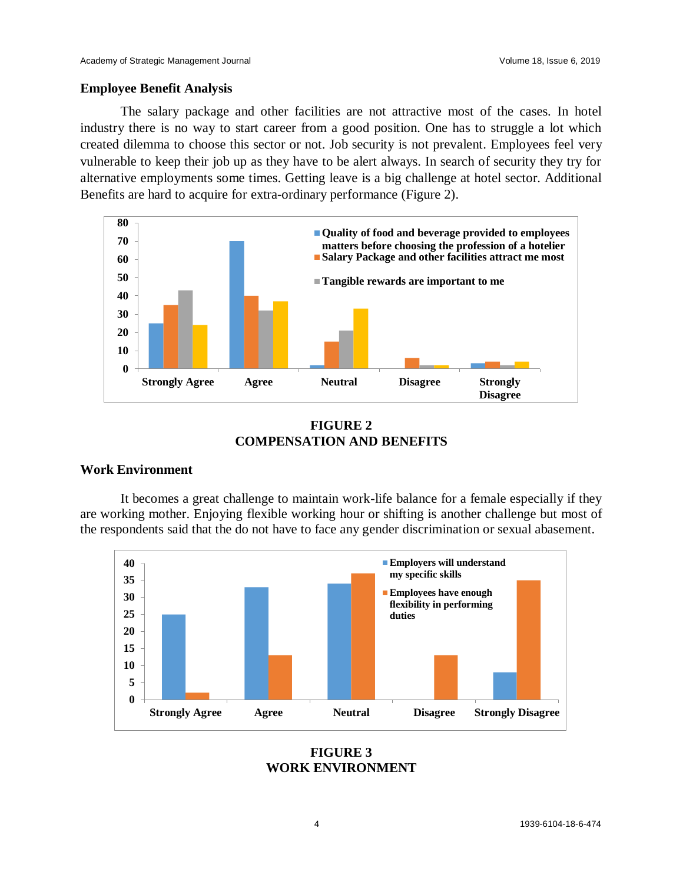#### **Employee Benefit Analysis**

The salary package and other facilities are not attractive most of the cases. In hotel industry there is no way to start career from a good position. One has to struggle a lot which created dilemma to choose this sector or not. Job security is not prevalent. Employees feel very vulnerable to keep their job up as they have to be alert always. In search of security they try for alternative employments some times. Getting leave is a big challenge at hotel sector. Additional Benefits are hard to acquire for extra-ordinary performance (Figure 2).



**FIGURE 2 COMPENSATION AND BENEFITS**

#### **Work Environment**

It becomes a great challenge to maintain work-life balance for a female especially if they are working mother. Enjoying flexible working hour or shifting is another challenge but most of the respondents said that the do not have to face any gender discrimination or sexual abasement.



**FIGURE 3 WORK ENVIRONMENT**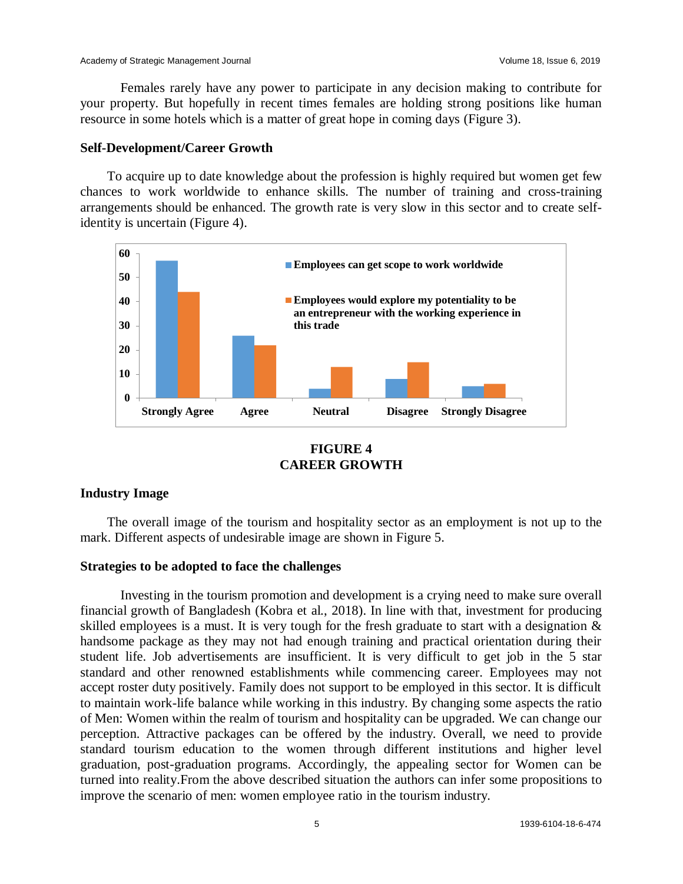Females rarely have any power to participate in any decision making to contribute for your property. But hopefully in recent times females are holding strong positions like human resource in some hotels which is a matter of great hope in coming days (Figure 3).

#### **Self-Development/Career Growth**

To acquire up to date knowledge about the profession is highly required but women get few chances to work worldwide to enhance skills. The number of training and cross-training arrangements should be enhanced. The growth rate is very slow in this sector and to create selfidentity is uncertain (Figure 4).



# **FIGURE 4 CAREER GROWTH**

#### **Industry Image**

The overall image of the tourism and hospitality sector as an employment is not up to the mark. Different aspects of undesirable image are shown in Figure 5.

#### **Strategies to be adopted to face the challenges**

Investing in the tourism promotion and development is a crying need to make sure overall financial growth of Bangladesh (Kobra et al., 2018). In line with that, investment for producing skilled employees is a must. It is very tough for the fresh graduate to start with a designation & handsome package as they may not had enough training and practical orientation during their student life. Job advertisements are insufficient. It is very difficult to get job in the 5 star standard and other renowned establishments while commencing career. Employees may not accept roster duty positively. Family does not support to be employed in this sector. It is difficult to maintain work-life balance while working in this industry. By changing some aspects the ratio of Men: Women within the realm of tourism and hospitality can be upgraded. We can change our perception. Attractive packages can be offered by the industry. Overall, we need to provide standard tourism education to the women through different institutions and higher level graduation, post-graduation programs. Accordingly, the appealing sector for Women can be turned into reality.From the above described situation the authors can infer some propositions to improve the scenario of men: women employee ratio in the tourism industry.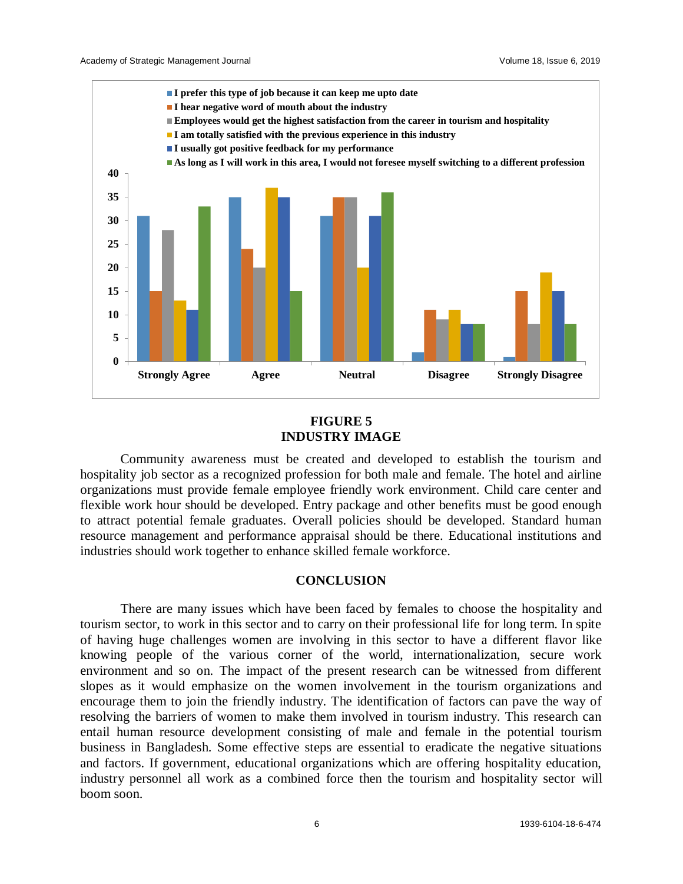

# **FIGURE 5 INDUSTRY IMAGE**

Community awareness must be created and developed to establish the tourism and hospitality job sector as a recognized profession for both male and female. The hotel and airline organizations must provide female employee friendly work environment. Child care center and flexible work hour should be developed. Entry package and other benefits must be good enough to attract potential female graduates. Overall policies should be developed. Standard human resource management and performance appraisal should be there. Educational institutions and industries should work together to enhance skilled female workforce.

#### **CONCLUSION**

There are many issues which have been faced by females to choose the hospitality and tourism sector, to work in this sector and to carry on their professional life for long term. In spite of having huge challenges women are involving in this sector to have a different flavor like knowing people of the various corner of the world, internationalization, secure work environment and so on. The impact of the present research can be witnessed from different slopes as it would emphasize on the women involvement in the tourism organizations and encourage them to join the friendly industry. The identification of factors can pave the way of resolving the barriers of women to make them involved in tourism industry. This research can entail human resource development consisting of male and female in the potential tourism business in Bangladesh. Some effective steps are essential to eradicate the negative situations and factors. If government, educational organizations which are offering hospitality education, industry personnel all work as a combined force then the tourism and hospitality sector will boom soon.